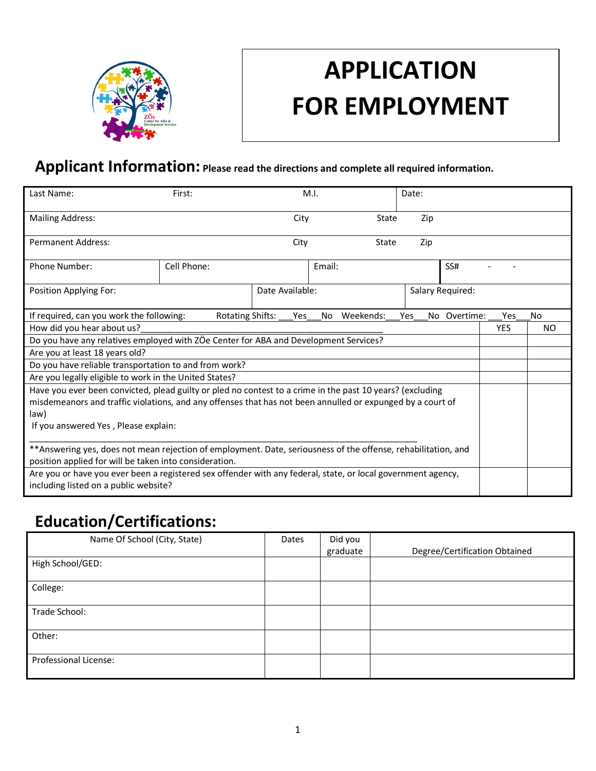

# **APPLICATION FOR EMPLOYMENT**

# **Applicant Information: Please read the directions and complete all required information.**

| Last Name:                                                                                                     | First:                  |                 | M.I.   |           | Date:      |                  |     |    |
|----------------------------------------------------------------------------------------------------------------|-------------------------|-----------------|--------|-----------|------------|------------------|-----|----|
| <b>Mailing Address:</b>                                                                                        |                         | City            |        | State     | Zip        |                  |     |    |
| <b>Permanent Address:</b>                                                                                      |                         | City            |        | State     | Zip        |                  |     |    |
| <b>Phone Number:</b>                                                                                           | Cell Phone:             |                 | Email: |           |            | SS#              |     |    |
| Position Applying For:                                                                                         |                         | Date Available: |        |           |            | Salary Required: |     |    |
| If required, can you work the following:                                                                       | <b>Rotating Shifts:</b> | <b>Yes</b>      | No.    | Weekends: | <b>Yes</b> | No Overtime:     | Yes | No |
| How did you hear about us?                                                                                     |                         |                 |        |           | <b>YES</b> | NO.              |     |    |
| Do you have any relatives employed with ZÖe Center for ABA and Development Services?                           |                         |                 |        |           |            |                  |     |    |
| Are you at least 18 years old?                                                                                 |                         |                 |        |           |            |                  |     |    |
| Do you have reliable transportation to and from work?                                                          |                         |                 |        |           |            |                  |     |    |
| Are you legally eligible to work in the United States?                                                         |                         |                 |        |           |            |                  |     |    |
| Have you ever been convicted, plead guilty or pled no contest to a crime in the past 10 years? (excluding      |                         |                 |        |           |            |                  |     |    |
| misdemeanors and traffic violations, and any offenses that has not been annulled or expunged by a court of     |                         |                 |        |           |            |                  |     |    |
| law)                                                                                                           |                         |                 |        |           |            |                  |     |    |
| If you answered Yes, Please explain:                                                                           |                         |                 |        |           |            |                  |     |    |
| ** Answering yes, does not mean rejection of employment. Date, seriousness of the offense, rehabilitation, and |                         |                 |        |           |            |                  |     |    |
| position applied for will be taken into consideration.                                                         |                         |                 |        |           |            |                  |     |    |
| Are you or have you ever been a registered sex offender with any federal, state, or local government agency,   |                         |                 |        |           |            |                  |     |    |
| including listed on a public website?                                                                          |                         |                 |        |           |            |                  |     |    |

# **Education/Certifications:**

| Name Of School (City, State) | Dates | Did you<br>graduate | Degree/Certification Obtained |
|------------------------------|-------|---------------------|-------------------------------|
| High School/GED:             |       |                     |                               |
|                              |       |                     |                               |
| College:                     |       |                     |                               |
| Trade School:                |       |                     |                               |
| Other:                       |       |                     |                               |
| Professional License:        |       |                     |                               |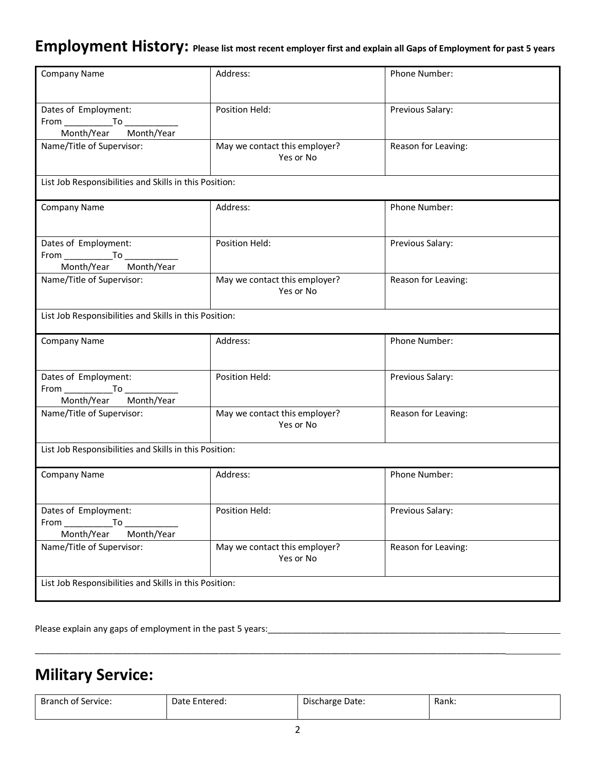### **Employment History: Please list most recent employer first and explain all Gaps of Employment for past 5 years**

| Company Name                                                                                                                                                              | Address:                                   | <b>Phone Number:</b> |  |  |  |
|---------------------------------------------------------------------------------------------------------------------------------------------------------------------------|--------------------------------------------|----------------------|--|--|--|
| Dates of Employment:<br>Month/Year Month/Year                                                                                                                             | Position Held:                             | Previous Salary:     |  |  |  |
| Name/Title of Supervisor:                                                                                                                                                 | May we contact this employer?<br>Yes or No | Reason for Leaving:  |  |  |  |
| List Job Responsibilities and Skills in this Position:                                                                                                                    |                                            |                      |  |  |  |
| Company Name                                                                                                                                                              | Address:                                   | Phone Number:        |  |  |  |
| Dates of Employment:<br>Month/Year Month/Year                                                                                                                             | Position Held:                             | Previous Salary:     |  |  |  |
| Name/Title of Supervisor:                                                                                                                                                 | May we contact this employer?<br>Yes or No | Reason for Leaving:  |  |  |  |
| List Job Responsibilities and Skills in this Position:                                                                                                                    |                                            |                      |  |  |  |
| <b>Company Name</b>                                                                                                                                                       | Address:                                   | Phone Number:        |  |  |  |
| Dates of Employment:<br>Month/Year Month/Year                                                                                                                             | Position Held:                             | Previous Salary:     |  |  |  |
| Name/Title of Supervisor:                                                                                                                                                 | May we contact this employer?<br>Yes or No | Reason for Leaving:  |  |  |  |
| List Job Responsibilities and Skills in this Position:                                                                                                                    |                                            |                      |  |  |  |
| Company Name                                                                                                                                                              | Address:                                   | Phone Number:        |  |  |  |
| Dates of Employment:<br>To<br>From the control of the set of the set of the set of the set of the set of the set of the set of the set of the<br>Month/Year<br>Month/Year | Position Held:                             | Previous Salary:     |  |  |  |
| Name/Title of Supervisor:                                                                                                                                                 | May we contact this employer?<br>Yes or No | Reason for Leaving:  |  |  |  |
| List Job Responsibilities and Skills in this Position:                                                                                                                    |                                            |                      |  |  |  |

Please explain any gaps of employment in the past 5 years:<br>

## **Military Service:**

| Branch of Service: | Date Entered: | $-$<br>Discharge Date: | Rank: |
|--------------------|---------------|------------------------|-------|
|                    |               |                        |       |

\_\_\_\_\_\_\_\_\_\_\_\_\_\_\_\_\_\_\_\_\_\_\_\_\_\_\_\_\_\_\_\_\_\_\_\_\_\_\_\_\_\_\_\_\_\_\_\_\_\_\_\_\_\_\_\_\_\_\_\_\_\_\_\_\_\_\_\_\_\_\_\_\_\_\_\_\_\_\_\_\_\_\_\_\_\_\_\_\_\_\_\_\_\_\_\_\_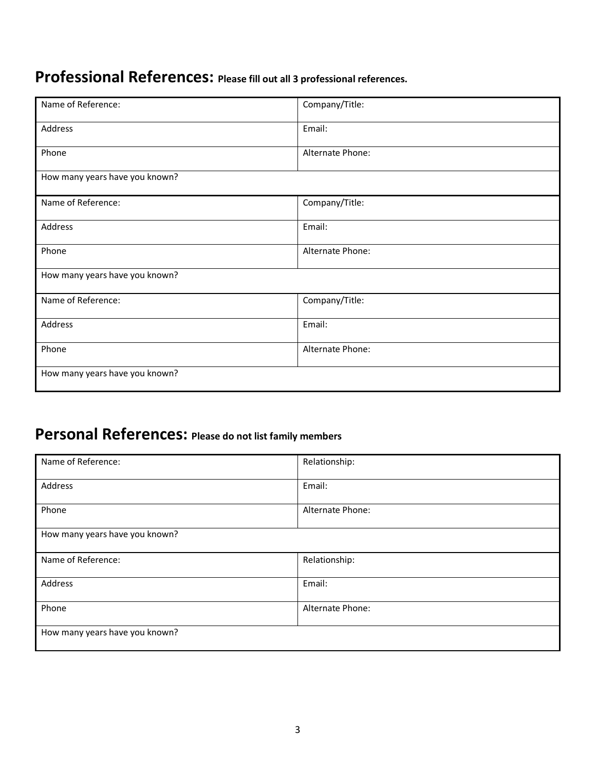# **Professional References: Please fill out all 3 professional references.**

| Name of Reference:             | Company/Title:   |
|--------------------------------|------------------|
| Address                        | Email:           |
| Phone                          | Alternate Phone: |
| How many years have you known? |                  |
| Name of Reference:             | Company/Title:   |
| Address                        | Email:           |
| Phone                          | Alternate Phone: |
| How many years have you known? |                  |
| Name of Reference:             | Company/Title:   |
| Address                        | Email:           |
| Phone                          | Alternate Phone: |
| How many years have you known? |                  |

# **Personal References: Please do not list family members**

| Name of Reference:             | Relationship:    |  |  |
|--------------------------------|------------------|--|--|
| Address                        | Email:           |  |  |
| Phone                          | Alternate Phone: |  |  |
| How many years have you known? |                  |  |  |
| Name of Reference:             | Relationship:    |  |  |
| Address                        | Email:           |  |  |
| Phone                          | Alternate Phone: |  |  |
| How many years have you known? |                  |  |  |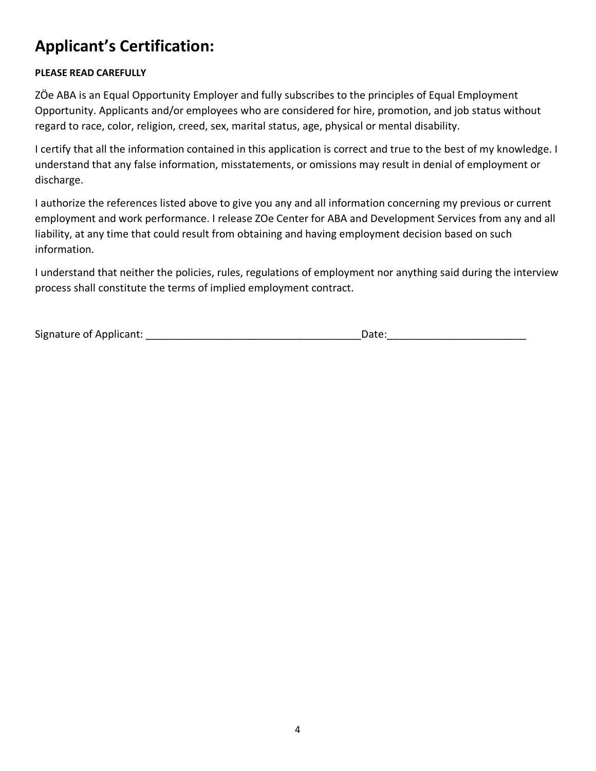# **Applicant's Certification:**

#### **PLEASE READ CAREFULLY**

ZÖe ABA is an Equal Opportunity Employer and fully subscribes to the principles of Equal Employment Opportunity. Applicants and/or employees who are considered for hire, promotion, and job status without regard to race, color, religion, creed, sex, marital status, age, physical or mental disability.

I certify that all the information contained in this application is correct and true to the best of my knowledge. I understand that any false information, misstatements, or omissions may result in denial of employment or discharge.

I authorize the references listed above to give you any and all information concerning my previous or current employment and work performance. I release ZOe Center for ABA and Development Services from any and all liability, at any time that could result from obtaining and having employment decision based on such information.

I understand that neither the policies, rules, regulations of employment nor anything said during the interview process shall constitute the terms of implied employment contract.

| Signature of Applicant: |  |  |
|-------------------------|--|--|
|                         |  |  |

 $Date:$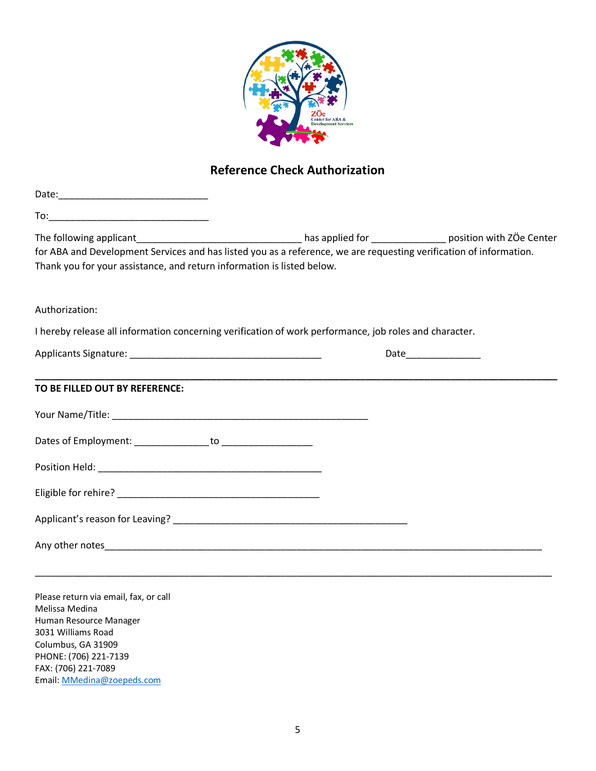

### **Reference Check Authorization**

| for ABA and Development Services and has listed you as a reference, we are requesting verification of information. |  |
|--------------------------------------------------------------------------------------------------------------------|--|
| Thank you for your assistance, and return information is listed below.                                             |  |
| Authorization:                                                                                                     |  |
| I hereby release all information concerning verification of work performance, job roles and character.             |  |
|                                                                                                                    |  |
| TO BE FILLED OUT BY REFERENCE:                                                                                     |  |
|                                                                                                                    |  |
|                                                                                                                    |  |
|                                                                                                                    |  |
|                                                                                                                    |  |
|                                                                                                                    |  |
|                                                                                                                    |  |
|                                                                                                                    |  |

Please return via email, fax, or call Melissa Medina Human Resource Manager 3031 Williams Road Columbus, GA 31909 PHONE: (706) 221-7139 FAX: (706) 221-7089 Email: MMedina@zoepeds.com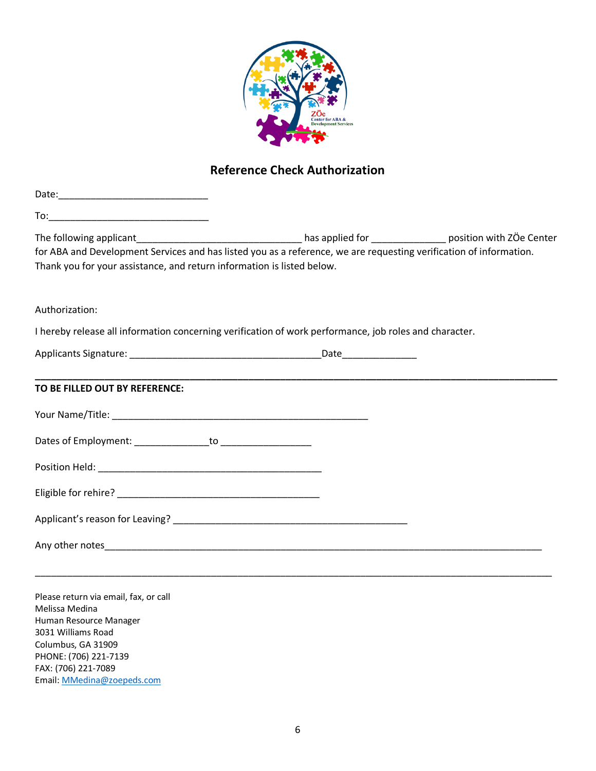

### **Reference Check Authorization**

| for ABA and Development Services and has listed you as a reference, we are requesting verification of information. |  |
|--------------------------------------------------------------------------------------------------------------------|--|
| Thank you for your assistance, and return information is listed below.                                             |  |
|                                                                                                                    |  |
| Authorization:                                                                                                     |  |
| I hereby release all information concerning verification of work performance, job roles and character.             |  |
|                                                                                                                    |  |
|                                                                                                                    |  |
| TO BE FILLED OUT BY REFERENCE:                                                                                     |  |
|                                                                                                                    |  |
|                                                                                                                    |  |
|                                                                                                                    |  |
|                                                                                                                    |  |
|                                                                                                                    |  |
|                                                                                                                    |  |
|                                                                                                                    |  |

Please return via email, fax, or call Melissa Medina Human Resource Manager 3031 Williams Road Columbus, GA 31909 PHONE: (706) 221-7139 FAX: (706) 221-7089 Email: MMedina@zoepeds.com